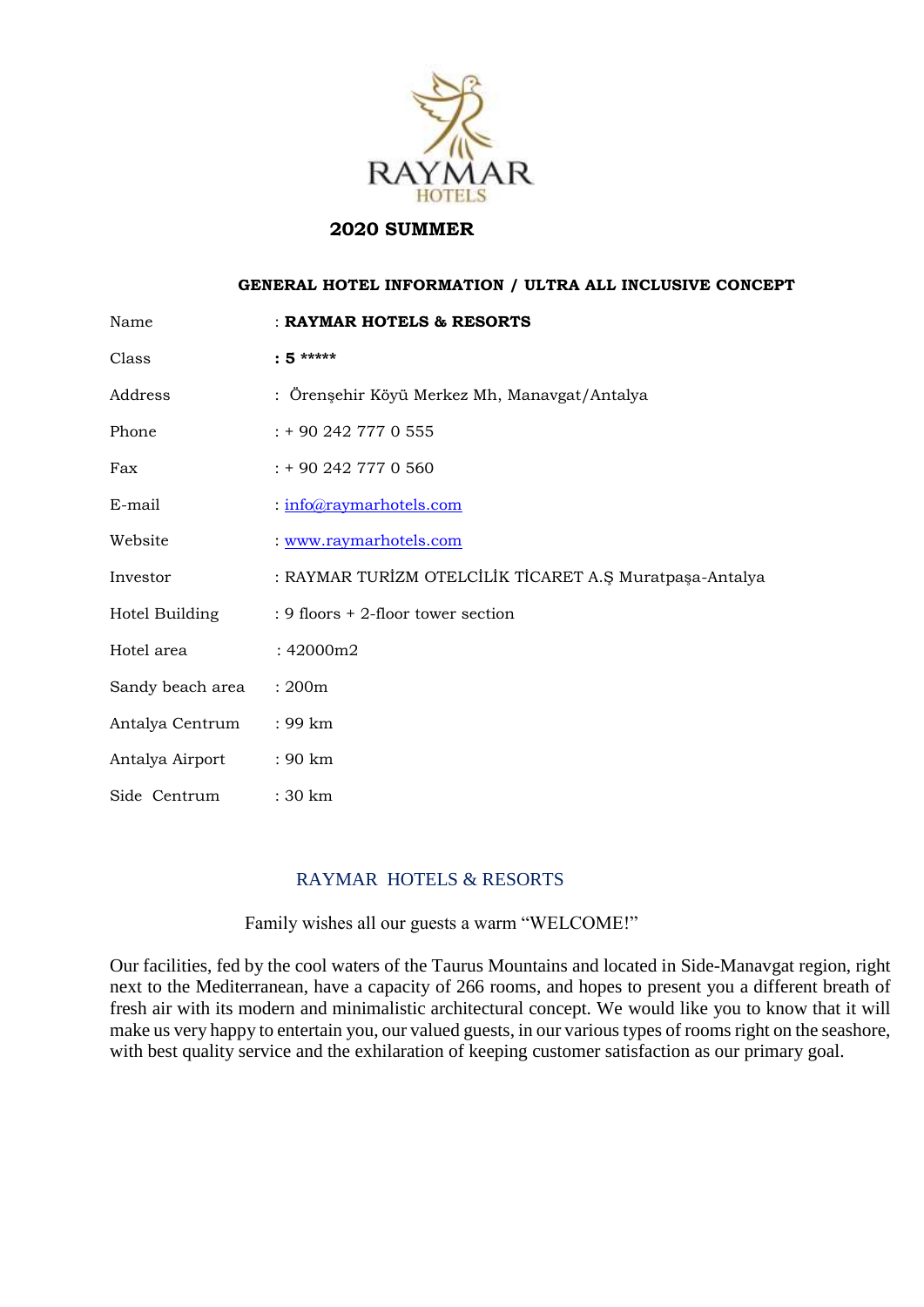

# **2020 SUMMER**

# **GENERAL HOTEL INFORMATION / ULTRA ALL INCLUSIVE CONCEPT**

| Name             | : RAYMAR HOTELS & RESORTS                               |
|------------------|---------------------------------------------------------|
| Class            | $: 5***$                                                |
| Address          | : Örenşehir Köyü Merkez Mh, Manavgat/Antalya            |
| Phone            | $: +902427770555$                                       |
| Fax              | : + 90 242 777 0 560                                    |
| E-mail           | : info@raymarhotels.com                                 |
| Website          | : www.raymarhotels.com                                  |
| Investor         | : RAYMAR TURİZM OTELCİLİK TİCARET A.Ş Muratpaşa-Antalya |
| Hotel Building   | : 9 floors $+$ 2-floor tower section                    |
| Hotel area       | : 42000m2                                               |
| Sandy beach area | : 200m                                                  |
| Antalya Centrum  | : 99 km                                                 |
| Antalya Airport  | : 90 km                                                 |
| Side Centrum     | : 30 km                                                 |

# RAYMAR HOTELS & RESORTS

Family wishes all our guests a warm "WELCOME!"

Our facilities, fed by the cool waters of the Taurus Mountains and located in Side-Manavgat region, right next to the Mediterranean, have a capacity of 266 rooms, and hopes to present you a different breath of fresh air with its modern and minimalistic architectural concept. We would like you to know that it will make us very happy to entertain you, our valued guests, in our various types of rooms right on the seashore, with best quality service and the exhilaration of keeping customer satisfaction as our primary goal.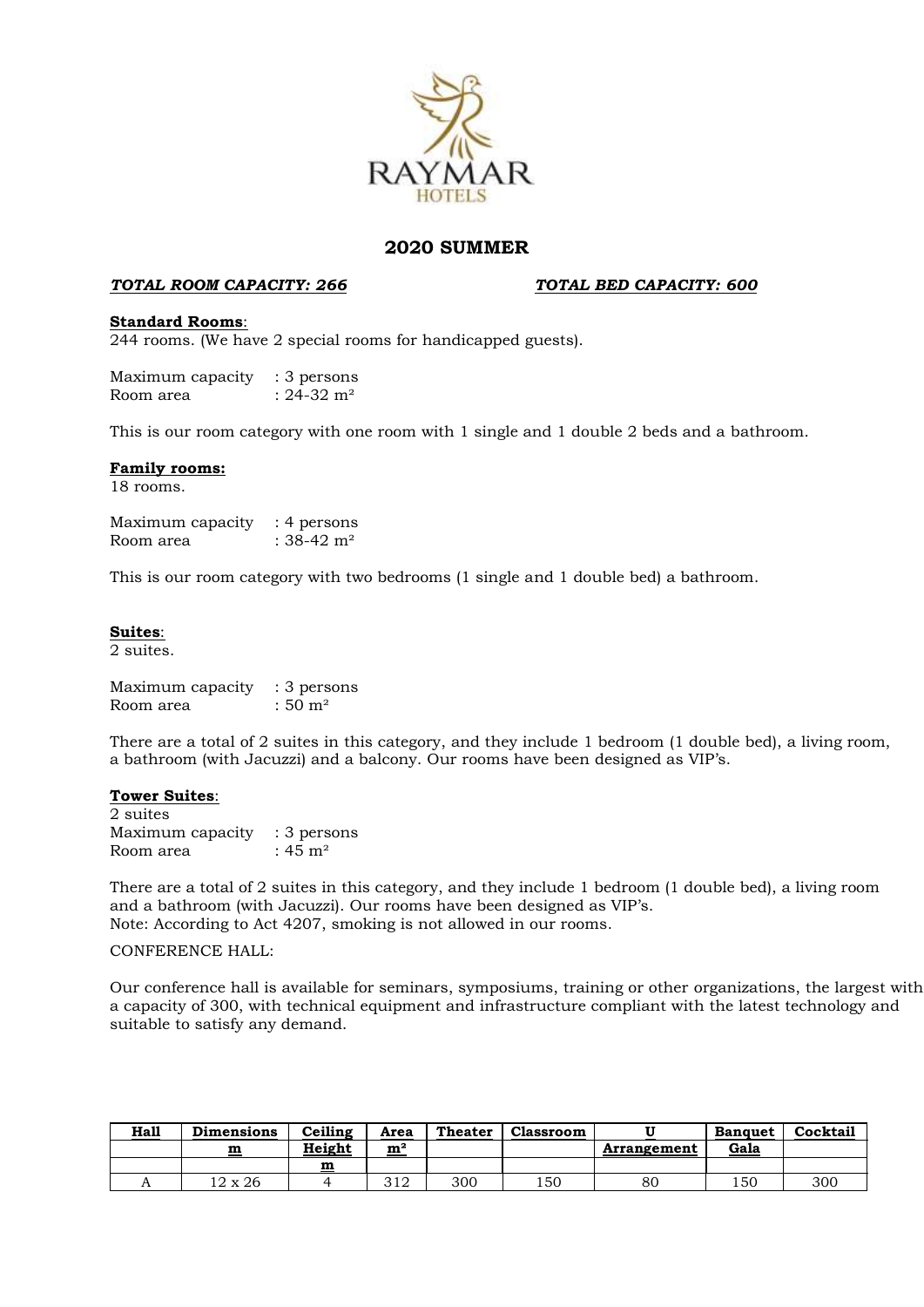

# **2020 SUMMER**

### *TOTAL ROOM CAPACITY: 266**TOTAL BED CAPACITY: 600*

#### **Standard Rooms**:

244 rooms. (We have 2 special rooms for handicapped guests).

Maximum capacity : 3 persons Room area  $: 24-32 \text{ m}^2$ 

This is our room category with one room with 1 single and 1 double 2 beds and a bathroom.

#### **Family rooms:**

18 rooms.

Maximum capacity : 4 persons Room area  $: 38-42$  m<sup>2</sup>

This is our room category with two bedrooms (1 single and 1 double bed) a bathroom.

#### **Suites**:

2 suites.

Maximum capacity : 3 persons Room area  $: 50 \text{ m}^2$ 

There are a total of 2 suites in this category, and they include 1 bedroom (1 double bed), a living room, a bathroom (with Jacuzzi) and a balcony. Our rooms have been designed as VIP's.

#### **Tower Suites**:

2 suites Maximum capacity : 3 persons Room area  $: 45 \text{ m}^2$ 

There are a total of 2 suites in this category, and they include 1 bedroom (1 double bed), a living room and a bathroom (with Jacuzzi). Our rooms have been designed as VIP's. Note: According to Act 4207, smoking is not allowed in our rooms.

#### CONFERENCE HALL:

Our conference hall is available for seminars, symposiums, training or other organizations, the largest with a capacity of 300, with technical equipment and infrastructure compliant with the latest technology and suitable to satisfy any demand.

| <b>Hall</b> | <b>Dimensions</b> | Ceiling | Area          | <b>Theater</b> | <b>Classroom</b> |             | <b>Banquet</b> | Cocktail |
|-------------|-------------------|---------|---------------|----------------|------------------|-------------|----------------|----------|
|             | m                 | Height  | ${\bf m}^2$   |                |                  | Arrangement | Gala           |          |
|             |                   | m       |               |                |                  |             |                |          |
|             | l2 x 26           |         | າ 1 ດ<br>ے رب | 300            | 150              | 80          | 150            | 300      |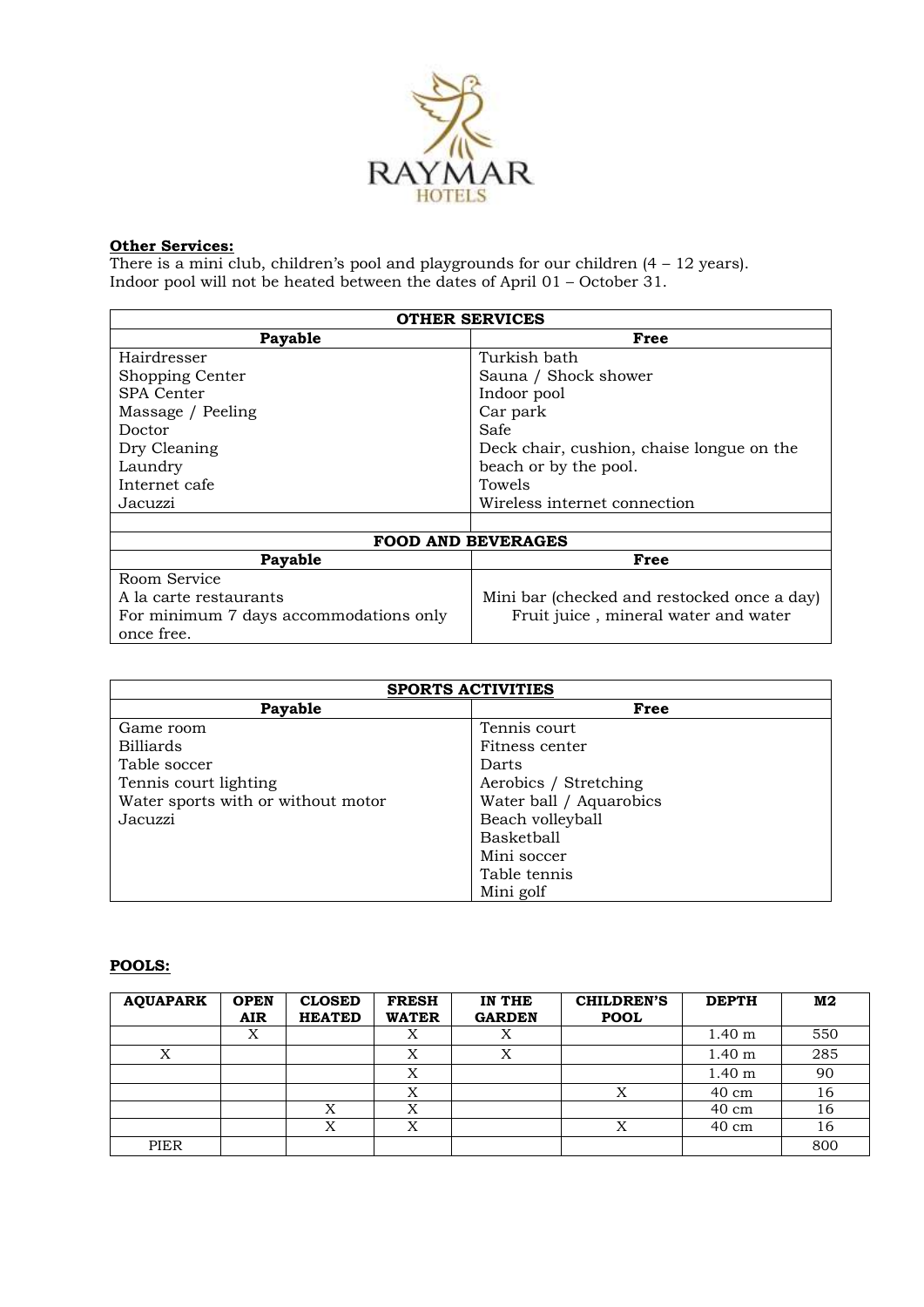

#### **Other Services:**

There is a mini club, children's pool and playgrounds for our children  $(4 - 12 \text{ years})$ . Indoor pool will not be heated between the dates of April 01 – October 31.

| <b>OTHER SERVICES</b>                  |                                             |  |  |  |
|----------------------------------------|---------------------------------------------|--|--|--|
| Payable                                | Free                                        |  |  |  |
| Hairdresser                            | Turkish bath                                |  |  |  |
| Shopping Center                        | Sauna / Shock shower                        |  |  |  |
| SPA Center                             | Indoor pool                                 |  |  |  |
| Massage / Peeling                      | Car park                                    |  |  |  |
| Doctor                                 | Safe                                        |  |  |  |
| Dry Cleaning                           | Deck chair, cushion, chaise longue on the   |  |  |  |
| Laundry                                | beach or by the pool.                       |  |  |  |
| Internet cafe                          | Towels                                      |  |  |  |
| Jacuzzi                                | Wireless internet connection                |  |  |  |
|                                        |                                             |  |  |  |
| <b>FOOD AND BEVERAGES</b>              |                                             |  |  |  |
| Payable                                | Free                                        |  |  |  |
| Room Service                           |                                             |  |  |  |
| A la carte restaurants                 | Mini bar (checked and restocked once a day) |  |  |  |
| For minimum 7 days accommodations only | Fruit juice, mineral water and water        |  |  |  |
| once free.                             |                                             |  |  |  |

| <b>SPORTS ACTIVITIES</b>           |                         |  |  |  |
|------------------------------------|-------------------------|--|--|--|
| Payable                            | Free                    |  |  |  |
| Game room                          | Tennis court            |  |  |  |
| <b>Billiards</b>                   | Fitness center          |  |  |  |
| Table soccer                       | Darts                   |  |  |  |
| Tennis court lighting              | Aerobics / Stretching   |  |  |  |
| Water sports with or without motor | Water ball / Aquarobics |  |  |  |
| Jacuzzi                            | Beach volleyball        |  |  |  |
|                                    | <b>Basketball</b>       |  |  |  |
|                                    | Mini soccer             |  |  |  |
|                                    | Table tennis            |  |  |  |
|                                    | Mini golf               |  |  |  |

# **POOLS:**

| <b>AQUAPARK</b> | <b>OPEN</b><br><b>AIR</b> | <b>CLOSED</b><br><b>HEATED</b> | <b>FRESH</b><br><b>WATER</b> | IN THE<br><b>GARDEN</b> | <b>CHILDREN'S</b><br><b>POOL</b> | <b>DEPTH</b>      | M <sub>2</sub> |
|-----------------|---------------------------|--------------------------------|------------------------------|-------------------------|----------------------------------|-------------------|----------------|
|                 | Х                         |                                | Х                            |                         |                                  | 1.40 <sub>m</sub> | 550            |
| X               |                           |                                | Х                            | Х                       |                                  | 1.40 <sub>m</sub> | 285            |
|                 |                           |                                | Х                            |                         |                                  | 1.40 <sub>m</sub> | 90             |
|                 |                           |                                | v                            |                         | $\mathbf{v}$                     | 40 cm             | 16             |
|                 |                           | $\mathbf{v}$                   | v<br>⋏                       |                         |                                  | $40 \text{ cm}$   | 16             |
|                 |                           | Х                              | X                            |                         | Χ                                | $40 \text{ cm}$   | 16             |
| PIER            |                           |                                |                              |                         |                                  |                   | 800            |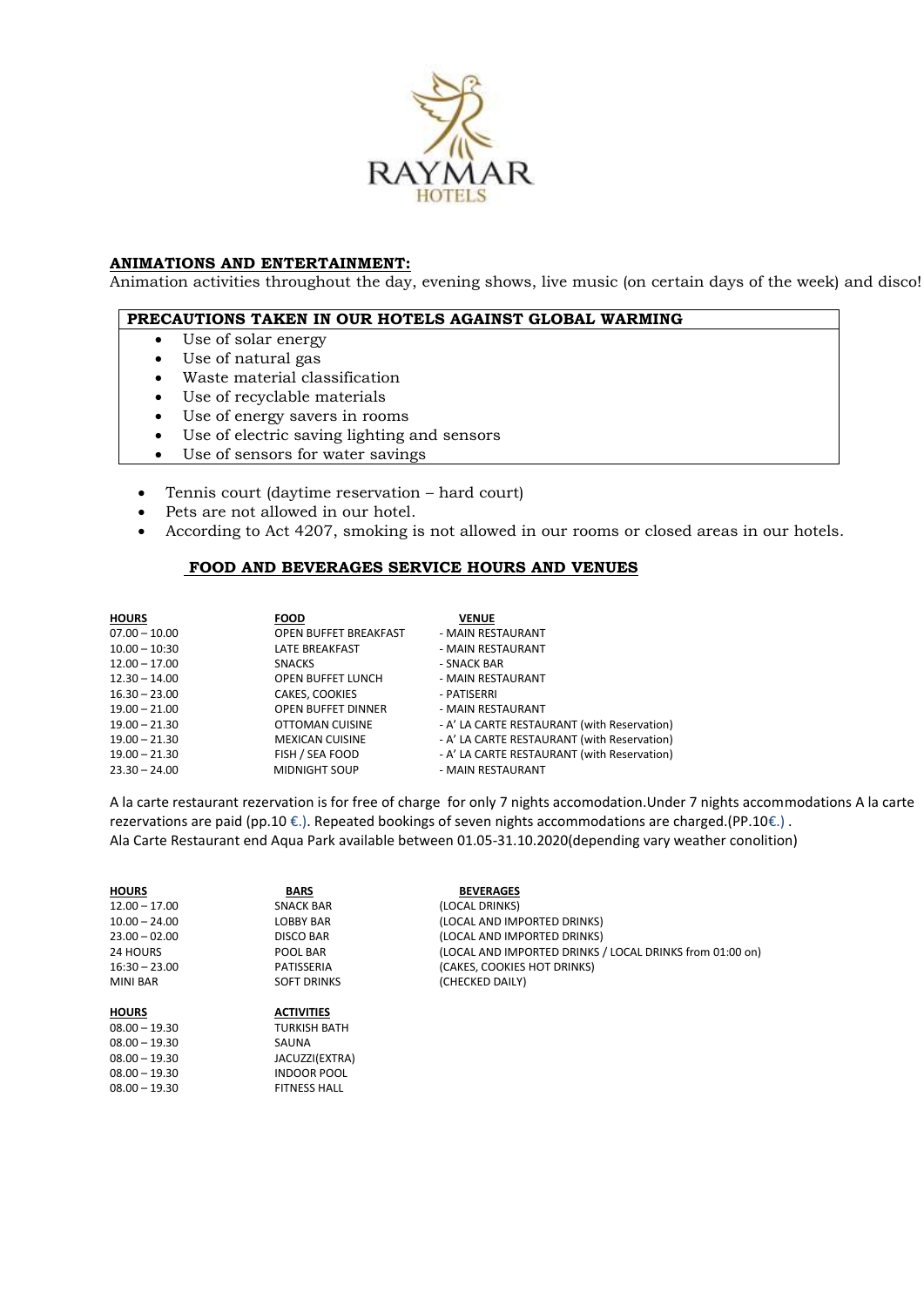

#### **ANIMATIONS AND ENTERTAINMENT:**

Animation activities throughout the day, evening shows, live music (on certain days of the week) and disco!

#### **PRECAUTIONS TAKEN IN OUR HOTELS AGAINST GLOBAL WARMING**

- Use of solar energy
- Use of natural gas

08.00 – 19.30 JACUZZI(EXTRA) 08.00 - 19.30 INDOOR POOL 08.00 - 19.30 FITNESS HALL

- Waste material classification
- Use of recyclable materials
- Use of energy savers in rooms
- Use of electric saving lighting and sensors
- Use of sensors for water savings
- Tennis court (daytime reservation hard court)
- Pets are not allowed in our hotel.
- According to Act 4207, smoking is not allowed in our rooms or closed areas in our hotels.

## **FOOD AND BEVERAGES SERVICE HOURS AND VENUES**

| <b>HOURS</b>    | <b>FOOD</b>                  | <b>VENUE</b>                                |
|-----------------|------------------------------|---------------------------------------------|
|                 |                              |                                             |
| $07.00 - 10.00$ | <b>OPEN BUFFET BREAKFAST</b> | - MAIN RESTAURANT                           |
| $10.00 - 10:30$ | LATE BREAKFAST               | - MAIN RESTAURANT                           |
| $12.00 - 17.00$ | <b>SNACKS</b>                | - SNACK BAR                                 |
| $12.30 - 14.00$ | <b>OPEN BUFFET LUNCH</b>     | - MAIN RESTAURANT                           |
| $16.30 - 23.00$ | CAKES, COOKIES               | - PATISERRI                                 |
| $19.00 - 21.00$ | <b>OPEN BUFFET DINNER</b>    | - MAIN RESTAURANT                           |
| $19.00 - 21.30$ | OTTOMAN CUISINE              | - A' LA CARTE RESTAURANT (with Reservation) |
| $19.00 - 21.30$ | <b>MEXICAN CUISINE</b>       | - A' LA CARTE RESTAURANT (with Reservation) |
| $19.00 - 21.30$ | FISH / SEA FOOD              | - A' LA CARTE RESTAURANT (with Reservation) |
| $23.30 - 24.00$ | <b>MIDNIGHT SOUP</b>         | - MAIN RESTAURANT                           |
|                 |                              |                                             |

A la carte restaurant rezervation is for free of charge for only 7 nights accomodation.Under 7 nights accommodations A la carte rezervations are paid (pp.10 €.). Repeated bookings of seven nights accommodations are charged.(PP.10€.) . Ala Carte Restaurant end Aqua Park available between 01.05-31.10.2020(depending vary weather conolition)

**HOURS BARS BEVERAGES**<br>12.00 - 17.00 **SNACK BAR** (LOCAL DRINKS) 12.00 – 17.00 SNACK BAR (LOCAL DRINKS)<br>10.00 – 24.00 LOBBY BAR (LOCAL AND IM) (LOCAL AND IMPORTED DRINKS) 23.00 – 02.00 DISCO BAR (LOCAL AND IMPORTED DRINKS) 24 HOURS POOL BAR (LOCAL AND IMPORTED DRINKS / LOCAL DRINKS from 01:00 on)<br>16:30 – 23.00 PATISSERIA (CAKES. COOKIES HOT DRINKS) 16:30 – 23.00 PATISSERIA (CAKES, COOKIES HOT DRINKS) (CHECKED DAILY) **HOURS ACTIVITIES** 08.00 – 19.30 TURKISH BATH 08.00 – 19.30 SAUNA